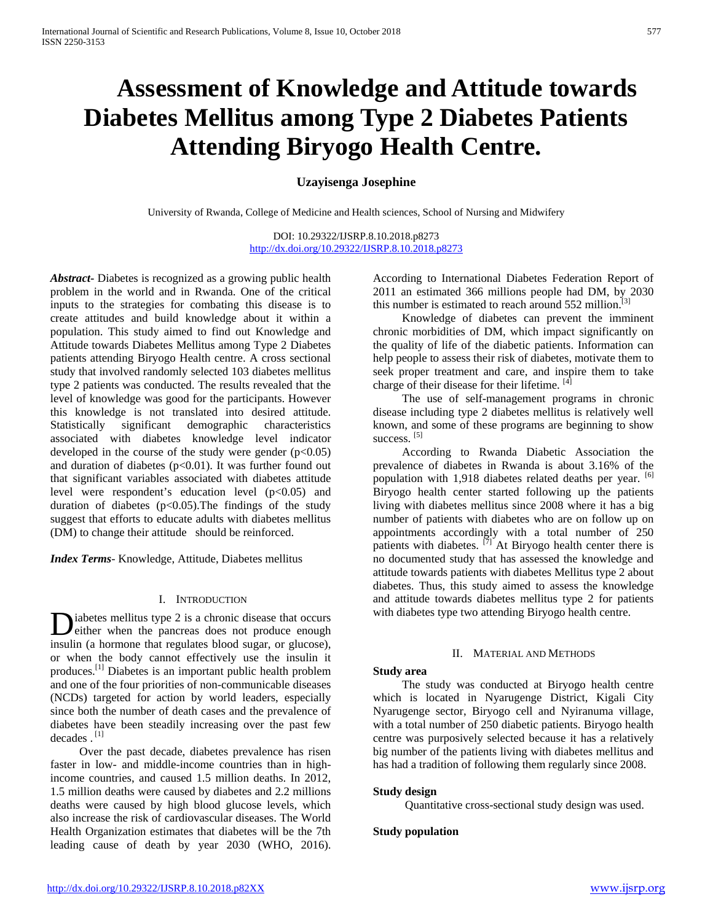# **Assessment of Knowledge and Attitude towards Diabetes Mellitus among Type 2 Diabetes Patients Attending Biryogo Health Centre.**

# **Uzayisenga Josephine**

University of Rwanda, College of Medicine and Health sciences, School of Nursing and Midwifery

DOI: 10.29322/IJSRP.8.10.2018.p8273 <http://dx.doi.org/10.29322/IJSRP.8.10.2018.p8273>

*Abstract***-** Diabetes is recognized as a growing public health problem in the world and in Rwanda. One of the critical inputs to the strategies for combating this disease is to create attitudes and build knowledge about it within a population. This study aimed to find out Knowledge and Attitude towards Diabetes Mellitus among Type 2 Diabetes patients attending Biryogo Health centre. A cross sectional study that involved randomly selected 103 diabetes mellitus type 2 patients was conducted. The results revealed that the level of knowledge was good for the participants. However this knowledge is not translated into desired attitude. Statistically significant demographic characteristics associated with diabetes knowledge level indicator developed in the course of the study were gender  $(p<0.05)$ and duration of diabetes ( $p<0.01$ ). It was further found out that significant variables associated with diabetes attitude level were respondent's education level (p<0.05) and duration of diabetes  $(p<0.05)$ . The findings of the study suggest that efforts to educate adults with diabetes mellitus (DM) to change their attitude should be reinforced.

*Index Terms*- Knowledge, Attitude, Diabetes mellitus

# I. INTRODUCTION

iabetes mellitus type 2 is a chronic disease that occurs Diabetes mellitus type 2 is a chronic disease that occurs<br>either when the pancreas does not produce enough insulin (a hormone that regulates blood sugar, or glucose), or when the body cannot effectively use the insulin it produces.[1] Diabetes is an important public health problem and one of the four priorities of non-communicable diseases (NCDs) targeted for action by world leaders, especially since both the number of death cases and the prevalence of diabetes have been steadily increasing over the past few decades . [1]

 Over the past decade, diabetes prevalence has risen faster in low- and middle-income countries than in highincome countries, and caused 1.5 million deaths. In 2012, 1.5 million deaths were caused by diabetes and 2.2 millions deaths were caused by high blood glucose levels, which also increase the risk of cardiovascular diseases. The World Health Organization estimates that diabetes will be the 7th leading cause of death by year 2030 (WHO, 2016). According to International Diabetes Federation Report of 2011 an estimated 366 millions people had DM, by 2030 this number is estimated to reach around  $552$  million.<sup>[3]</sup>

 Knowledge of diabetes can prevent the imminent chronic morbidities of DM, which impact significantly on the quality of life of the diabetic patients. Information can help people to assess their risk of diabetes, motivate them to seek proper treatment and care, and inspire them to take charge of their disease for their lifetime. [4]

 The use of self-management programs in chronic disease including type 2 diabetes mellitus is relatively well known, and some of these programs are beginning to show success.<sup>[5]</sup>

 According to Rwanda Diabetic Association the prevalence of diabetes in Rwanda is about 3.16% of the population with 1,918 diabetes related deaths per year. [6] Biryogo health center started following up the patients living with diabetes mellitus since 2008 where it has a big number of patients with diabetes who are on follow up on appointments accordingly with a total number of 250 patients with diabetes.  $\overline{[7]}$  At Biryogo health center there is no documented study that has assessed the knowledge and attitude towards patients with diabetes Mellitus type 2 about diabetes. Thus, this study aimed to assess the knowledge and attitude towards diabetes mellitus type 2 for patients with diabetes type two attending Biryogo health centre.

### II. MATERIAL AND METHODS

## **Study area**

 The study was conducted at Biryogo health centre which is located in Nyarugenge District, Kigali City Nyarugenge sector, Biryogo cell and Nyiranuma village, with a total number of 250 diabetic patients. Biryogo health centre was purposively selected because it has a relatively big number of the patients living with diabetes mellitus and has had a tradition of following them regularly since 2008.

# **Study design**

Quantitative cross-sectional study design was used.

# **Study population**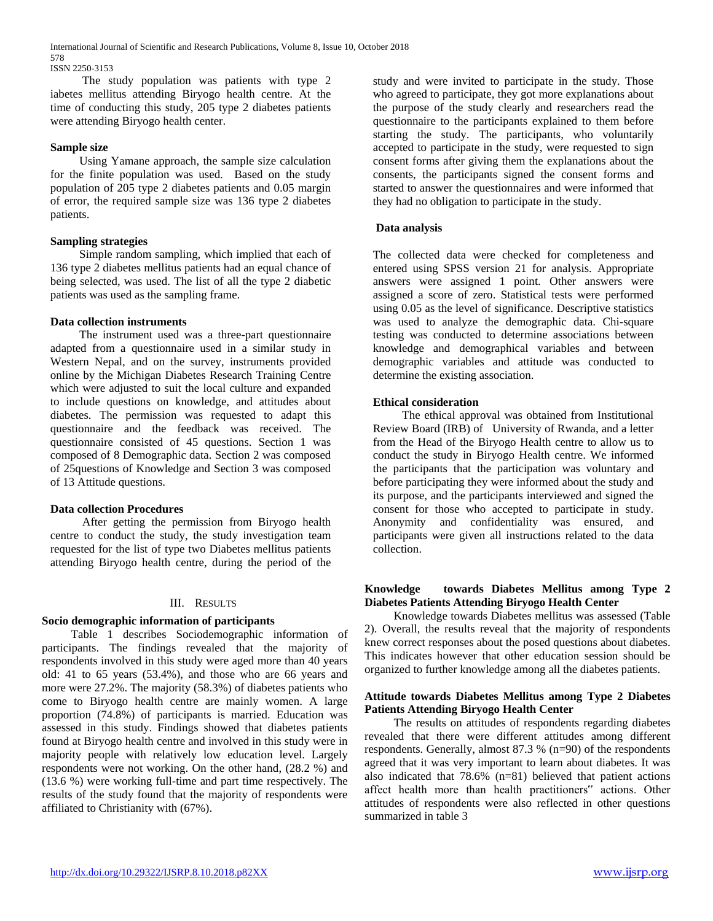International Journal of Scientific and Research Publications, Volume 8, Issue 10, October 2018 578 ISSN 2250-3153

 The study population was patients with type 2 iabetes mellitus attending Biryogo health centre. At the time of conducting this study, 205 type 2 diabetes patients were attending Biryogo health center.

# **Sample size**

 Using Yamane approach, the sample size calculation for the finite population was used. Based on the study population of 205 type 2 diabetes patients and 0.05 margin of error, the required sample size was 136 type 2 diabetes patients.

# **Sampling strategies**

 Simple random sampling, which implied that each of 136 type 2 diabetes mellitus patients had an equal chance of being selected, was used. The list of all the type 2 diabetic patients was used as the sampling frame.

# **Data collection instruments**

 The instrument used was a three-part questionnaire adapted from a questionnaire used in a similar study in Western Nepal, and on the survey, instruments provided online by the Michigan Diabetes Research Training Centre which were adjusted to suit the local culture and expanded to include questions on knowledge, and attitudes about diabetes. The permission was requested to adapt this questionnaire and the feedback was received. The questionnaire consisted of 45 questions. Section 1 was composed of 8 Demographic data. Section 2 was composed of 25questions of Knowledge and Section 3 was composed of 13 Attitude questions.

# **Data collection Procedures**

 After getting the permission from Biryogo health centre to conduct the study, the study investigation team requested for the list of type two Diabetes mellitus patients attending Biryogo health centre, during the period of the

# III. RESULTS

# **Socio demographic information of participants**

 Table 1 describes Sociodemographic information of participants. The findings revealed that the majority of respondents involved in this study were aged more than 40 years old: 41 to 65 years (53.4%), and those who are 66 years and more were 27.2%. The majority (58.3%) of diabetes patients who come to Biryogo health centre are mainly women. A large proportion (74.8%) of participants is married. Education was assessed in this study. Findings showed that diabetes patients found at Biryogo health centre and involved in this study were in majority people with relatively low education level. Largely respondents were not working. On the other hand, (28.2 %) and (13.6 %) were working full-time and part time respectively. The results of the study found that the majority of respondents were affiliated to Christianity with (67%).

study and were invited to participate in the study. Those who agreed to participate, they got more explanations about the purpose of the study clearly and researchers read the questionnaire to the participants explained to them before starting the study. The participants, who voluntarily accepted to participate in the study, were requested to sign consent forms after giving them the explanations about the consents, the participants signed the consent forms and started to answer the questionnaires and were informed that they had no obligation to participate in the study.

# **Data analysis**

The collected data were checked for completeness and entered using SPSS version 21 for analysis. Appropriate answers were assigned 1 point. Other answers were assigned a score of zero. Statistical tests were performed using 0.05 as the level of significance. Descriptive statistics was used to analyze the demographic data. Chi-square testing was conducted to determine associations between knowledge and demographical variables and between demographic variables and attitude was conducted to determine the existing association.

# **Ethical consideration**

 The ethical approval was obtained from Institutional Review Board (IRB) of University of Rwanda, and a letter from the Head of the Biryogo Health centre to allow us to conduct the study in Biryogo Health centre. We informed the participants that the participation was voluntary and before participating they were informed about the study and its purpose, and the participants interviewed and signed the consent for those who accepted to participate in study. Anonymity and confidentiality was ensured, and participants were given all instructions related to the data collection.

# **Knowledge towards Diabetes Mellitus among Type 2 Diabetes Patients Attending Biryogo Health Center**

 Knowledge towards Diabetes mellitus was assessed (Table 2). Overall, the results reveal that the majority of respondents knew correct responses about the posed questions about diabetes. This indicates however that other education session should be organized to further knowledge among all the diabetes patients.

# **Attitude towards Diabetes Mellitus among Type 2 Diabetes Patients Attending Biryogo Health Center**

 The results on attitudes of respondents regarding diabetes revealed that there were different attitudes among different respondents. Generally, almost 87.3 % (n=90) of the respondents agreed that it was very important to learn about diabetes. It was also indicated that 78.6% (n=81) believed that patient actions affect health more than health practitioners" actions. Other attitudes of respondents were also reflected in other questions summarized in table 3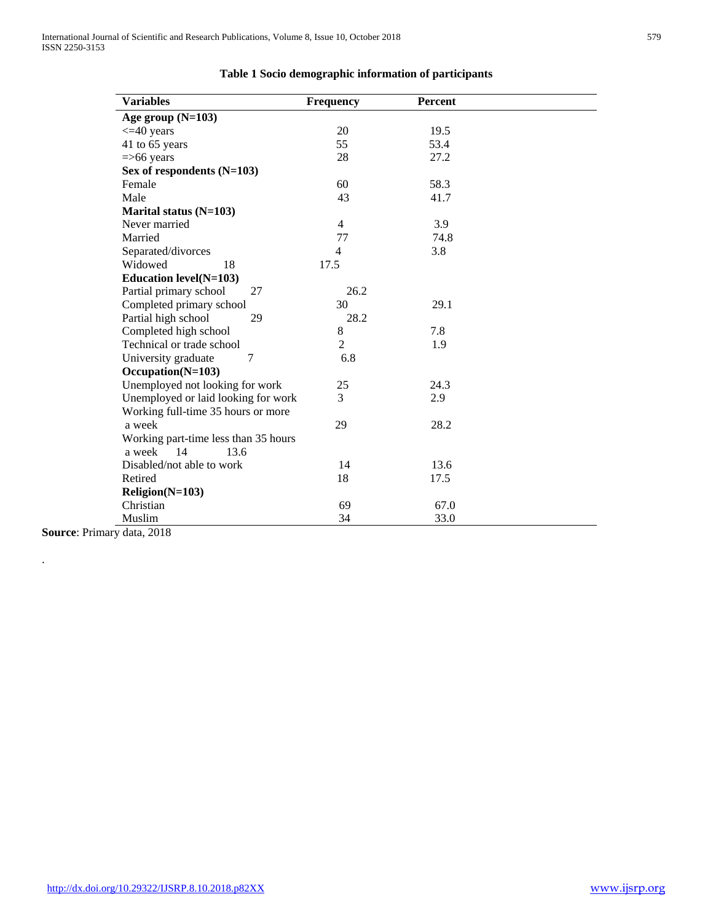| <b>Variables</b>                     | <b>Frequency</b> | Percent |  |
|--------------------------------------|------------------|---------|--|
| Age group $(N=103)$                  |                  |         |  |
| $\leq$ 40 years                      | 20               | 19.5    |  |
| 41 to 65 years                       | 55               | 53.4    |  |
| $=$ >66 years                        | 28               | 27.2    |  |
| Sex of respondents $(N=103)$         |                  |         |  |
| Female                               | 60               | 58.3    |  |
| Male                                 | 43               | 41.7    |  |
| Marital status (N=103)               |                  |         |  |
| Never married                        | $\overline{4}$   | 3.9     |  |
| Married                              | 77               | 74.8    |  |
| Separated/divorces                   | $\overline{4}$   | 3.8     |  |
| Widowed<br>18                        | 17.5             |         |  |
| <b>Education level(N=103)</b>        |                  |         |  |
| Partial primary school<br>27         | 26.2             |         |  |
| Completed primary school             | 30               | 29.1    |  |
| Partial high school<br>29            | 28.2             |         |  |
| Completed high school                | 8                | 7.8     |  |
| Technical or trade school            | $\overline{2}$   | 1.9     |  |
| University graduate<br>7             | 6.8              |         |  |
| Occupation(N=103)                    |                  |         |  |
| Unemployed not looking for work      | 25               | 24.3    |  |
| Unemployed or laid looking for work  | 3                | 2.9     |  |
| Working full-time 35 hours or more   |                  |         |  |
| a week                               | 29               | 28.2    |  |
| Working part-time less than 35 hours |                  |         |  |
| 14<br>a week<br>13.6                 |                  |         |  |
| Disabled/not able to work            | 14               | 13.6    |  |
| Retired                              | 18               | 17.5    |  |
| Religion(N=103)                      |                  |         |  |
| Christian                            | 69               | 67.0    |  |
| Muslim                               | 34               | 33.0    |  |

# **Table 1 Socio demographic information of participants**

**Source**: Primary data, 2018

.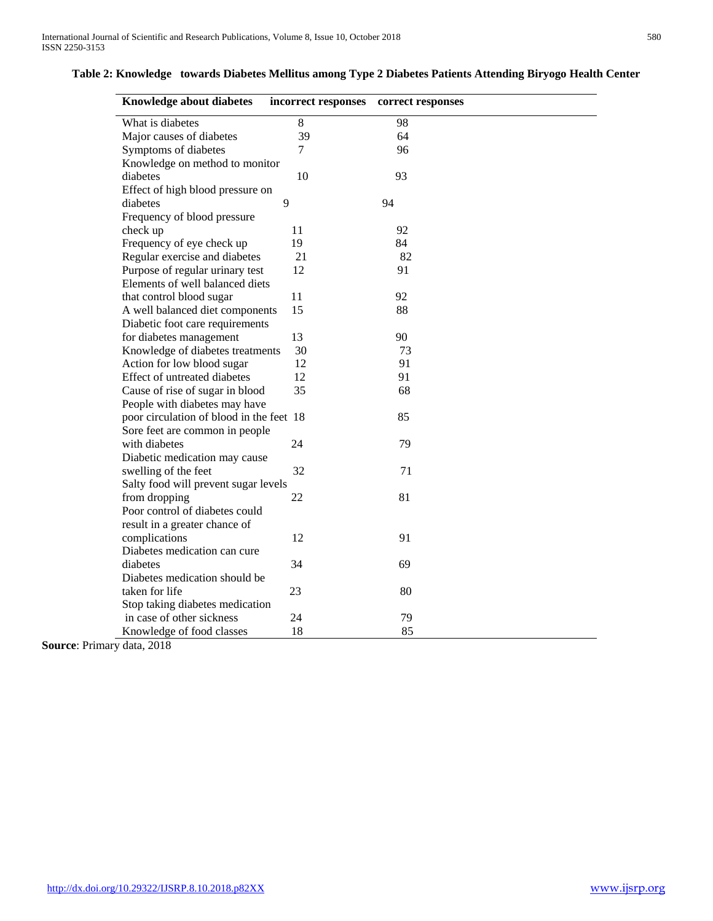# **Table 2: Knowledge towards Diabetes Mellitus among Type 2 Diabetes Patients Attending Biryogo Health Center**

| <b>Knowledge about diabetes</b>               | incorrect responses | correct responses |  |
|-----------------------------------------------|---------------------|-------------------|--|
| What is diabetes                              | 8                   | 98                |  |
| Major causes of diabetes                      | 39                  | 64                |  |
| Symptoms of diabetes                          | 7                   | 96                |  |
| Knowledge on method to monitor                |                     |                   |  |
| diabetes                                      | 10                  | 93                |  |
| Effect of high blood pressure on              |                     |                   |  |
| diabetes                                      | 9                   | 94                |  |
| Frequency of blood pressure                   |                     |                   |  |
| check up                                      | 11                  | 92                |  |
| Frequency of eye check up                     | 19                  | 84                |  |
| Regular exercise and diabetes                 | 21                  | 82                |  |
| Purpose of regular urinary test               | 12                  | 91                |  |
| Elements of well balanced diets               |                     |                   |  |
| that control blood sugar                      | 11                  | 92                |  |
| A well balanced diet components               | 15                  | 88                |  |
| Diabetic foot care requirements               |                     |                   |  |
| for diabetes management                       | 13                  | 90                |  |
| Knowledge of diabetes treatments              | 30                  | 73                |  |
| Action for low blood sugar                    | 12                  | 91                |  |
| Effect of untreated diabetes                  | 12                  | 91                |  |
| Cause of rise of sugar in blood               | 35                  | 68                |  |
| People with diabetes may have                 |                     |                   |  |
| poor circulation of blood in the feet 18      |                     | 85                |  |
| Sore feet are common in people                |                     |                   |  |
| with diabetes                                 | 24                  | 79                |  |
| Diabetic medication may cause                 |                     |                   |  |
| swelling of the feet                          | 32                  | 71                |  |
| Salty food will prevent sugar levels          |                     |                   |  |
| from dropping                                 | 22                  | 81                |  |
| Poor control of diabetes could                |                     |                   |  |
|                                               |                     |                   |  |
| result in a greater chance of                 |                     |                   |  |
| complications<br>Diabetes medication can cure | 12                  | 91                |  |
|                                               |                     |                   |  |
| diabetes                                      | 34                  | 69                |  |
| Diabetes medication should be                 |                     |                   |  |
| taken for life                                | 23                  | 80                |  |
| Stop taking diabetes medication               |                     |                   |  |
| in case of other sickness                     | 24                  | 79                |  |
| Knowledge of food classes<br>3.4.0010         | 18                  | 85                |  |

**Source**: Primary data, 2018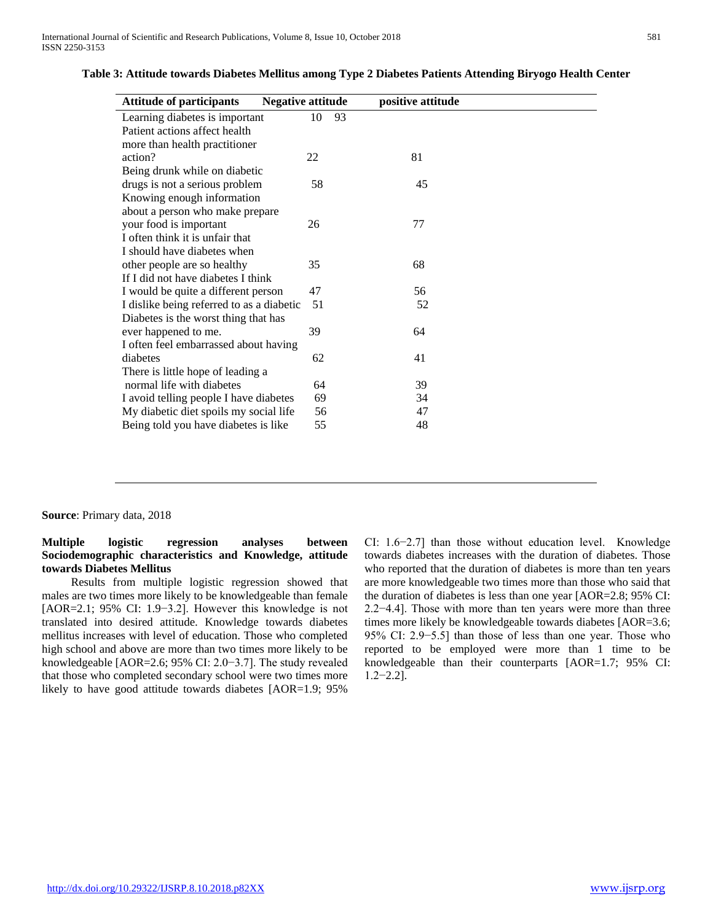| <b>Attitude of participants</b><br><b>Negative attitude</b> |    | positive attitude |  |
|-------------------------------------------------------------|----|-------------------|--|
| Learning diabetes is important                              | 10 | 93                |  |
| Patient actions affect health                               |    |                   |  |
| more than health practitioner                               |    |                   |  |
| action?                                                     | 22 | 81                |  |
| Being drunk while on diabetic                               |    |                   |  |
| drugs is not a serious problem                              | 58 | 45                |  |
| Knowing enough information                                  |    |                   |  |
| about a person who make prepare                             |    |                   |  |
| your food is important                                      | 26 | 77                |  |
| I often think it is unfair that                             |    |                   |  |
| I should have diabetes when                                 |    |                   |  |
| other people are so healthy                                 | 35 | 68                |  |
| If I did not have diabetes I think                          |    |                   |  |
| I would be quite a different person                         | 47 | 56                |  |
| I dislike being referred to as a diabetic                   | 51 | 52                |  |
| Diabetes is the worst thing that has                        |    |                   |  |
| ever happened to me.                                        | 39 | 64                |  |
| I often feel embarrassed about having                       |    |                   |  |
| diabetes                                                    | 62 | 41                |  |
| There is little hope of leading a                           |    |                   |  |
| normal life with diabetes                                   | 64 | 39                |  |
| I avoid telling people I have diabetes                      | 69 | 34                |  |
| My diabetic diet spoils my social life                      | 56 | 47                |  |
| Being told you have diabetes is like                        | 55 | 48                |  |

## **Table 3: Attitude towards Diabetes Mellitus among Type 2 Diabetes Patients Attending Biryogo Health Center**

**Source**: Primary data, 2018

# **Multiple logistic regression analyses between Sociodemographic characteristics and Knowledge, attitude towards Diabetes Mellitus**

 Results from multiple logistic regression showed that males are two times more likely to be knowledgeable than female [AOR=2.1; 95% CI: 1.9−3.2]. However this knowledge is not translated into desired attitude. Knowledge towards diabetes mellitus increases with level of education. Those who completed high school and above are more than two times more likely to be knowledgeable [AOR=2.6; 95% CI: 2.0−3.7]. The study revealed that those who completed secondary school were two times more likely to have good attitude towards diabetes [AOR=1.9; 95%

CI: 1.6−2.7] than those without education level. Knowledge towards diabetes increases with the duration of diabetes. Those who reported that the duration of diabetes is more than ten years are more knowledgeable two times more than those who said that the duration of diabetes is less than one year [AOR=2.8; 95% CI: 2.2−4.4]. Those with more than ten years were more than three times more likely be knowledgeable towards diabetes [AOR=3.6; 95% CI: 2.9−5.5] than those of less than one year. Those who reported to be employed were more than 1 time to be knowledgeable than their counterparts [AOR=1.7; 95% CI: 1.2−2.2].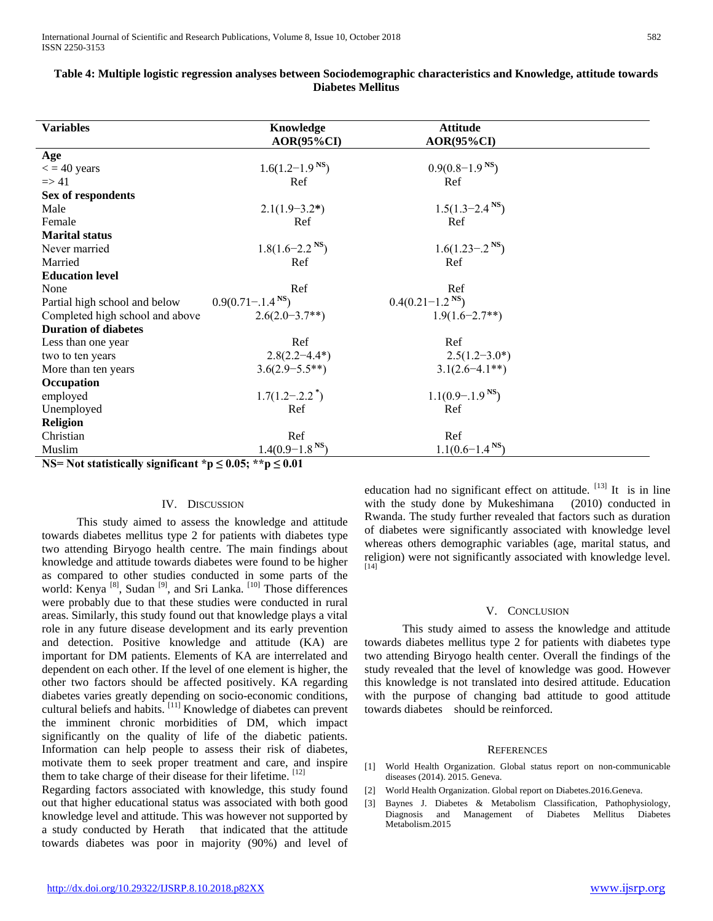| <b>Variables</b>                                                   | Knowledge                        | <b>Attitude</b>                  |  |
|--------------------------------------------------------------------|----------------------------------|----------------------------------|--|
|                                                                    | $AOR(95\%CI)$                    | $AOR(95\%CI)$                    |  |
| Age                                                                |                                  |                                  |  |
| $\epsilon$ = 40 years                                              | $1.6(1.2 - 1.9NS)$               | $0.9(0.8-1.9NS)$                 |  |
| $\Rightarrow$ 41                                                   | Ref                              | Ref                              |  |
| Sex of respondents                                                 |                                  |                                  |  |
| Male                                                               | $2.1(1.9-3.2*)$                  | $1.5(1.3-2.4NS)$                 |  |
| Female                                                             | Ref                              | Ref                              |  |
| <b>Marital</b> status                                              |                                  |                                  |  |
| Never married                                                      | $1.8(1.6-2.2NS)$                 | $1.6(1.23 - 0.2$ <sup>NS</sup> ) |  |
| Married                                                            | Ref                              | Ref                              |  |
| <b>Education level</b>                                             |                                  |                                  |  |
| None                                                               | Ref                              | Ref                              |  |
| Partial high school and below                                      | $0.9(0.71 - 1.4$ <sup>NS</sup> ) | $0.4(0.21-1.2^{N}S)$             |  |
| Completed high school and above                                    | $2.6(2.0-3.7**)$                 | $1.9(1.6 - 2.7**)$               |  |
| <b>Duration of diabetes</b>                                        |                                  |                                  |  |
| Less than one year                                                 | Ref                              | Ref                              |  |
| two to ten years                                                   | $2.8(2.2 - 4.4^*)$               | $2.5(1.2-3.0*)$                  |  |
| More than ten years                                                | $3.6(2.9 - 5.5**)$               | $3.1(2.6-4.1**)$                 |  |
| Occupation                                                         |                                  |                                  |  |
| employed                                                           | $1.7(1.2-.2.2^*)$                | $1.1(0.9 - 1.9NS)$               |  |
| Unemployed                                                         | Ref                              | Ref                              |  |
| <b>Religion</b>                                                    |                                  |                                  |  |
| Christian                                                          | Ref                              | Ref                              |  |
| Muslim                                                             | $1.4(0.9-1.8NS)$                 | $1.1(0.6-1.4NS)$                 |  |
| NS= Not statistically significant *p $\leq 0.05$ ; **p $\leq 0.01$ |                                  |                                  |  |

# **Table 4: Multiple logistic regression analyses between Sociodemographic characteristics and Knowledge, attitude towards Diabetes Mellitus**

### IV. DISCUSSION

 This study aimed to assess the knowledge and attitude towards diabetes mellitus type 2 for patients with diabetes type two attending Biryogo health centre. The main findings about knowledge and attitude towards diabetes were found to be higher as compared to other studies conducted in some parts of the world: Kenya<sup>[8]</sup>, Sudan<sup>[9]</sup>, and Sri Lanka.<sup>[10]</sup> Those differences were probably due to that these studies were conducted in rural areas. Similarly, this study found out that knowledge plays a vital role in any future disease development and its early prevention and detection. Positive knowledge and attitude (KA) are important for DM patients. Elements of KA are interrelated and dependent on each other. If the level of one element is higher, the other two factors should be affected positively. KA regarding diabetes varies greatly depending on socio-economic conditions, cultural beliefs and habits. [11] Knowledge of diabetes can prevent the imminent chronic morbidities of DM, which impact significantly on the quality of life of the diabetic patients. Information can help people to assess their risk of diabetes, motivate them to seek proper treatment and care, and inspire them to take charge of their disease for their lifetime. [12]

Regarding factors associated with knowledge, this study found out that higher educational status was associated with both good knowledge level and attitude. This was however not supported by a study conducted by Herath that indicated that the attitude towards diabetes was poor in majority (90%) and level of education had no significant effect on attitude.  $[13]$  It is in line with the study done by Mukeshimana (2010) conducted in Rwanda. The study further revealed that factors such as duration of diabetes were significantly associated with knowledge level whereas others demographic variables (age, marital status, and religion) were not significantly associated with knowledge level. [14]

#### V. CONCLUSION

 This study aimed to assess the knowledge and attitude towards diabetes mellitus type 2 for patients with diabetes type two attending Biryogo health center. Overall the findings of the study revealed that the level of knowledge was good. However this knowledge is not translated into desired attitude. Education with the purpose of changing bad attitude to good attitude towards diabetes should be reinforced.

#### **REFERENCES**

- [1] World Health Organization. Global status report on non-communicable diseases (2014). 2015. Geneva.
- [2] World Health Organization. Global report on Diabetes.2016.Geneva.
- [3] Baynes J. Diabetes & Metabolism Classification, Pathophysiology, Diagnosis and Management of Diabetes Mellitus Diabetes Metabolism.2015